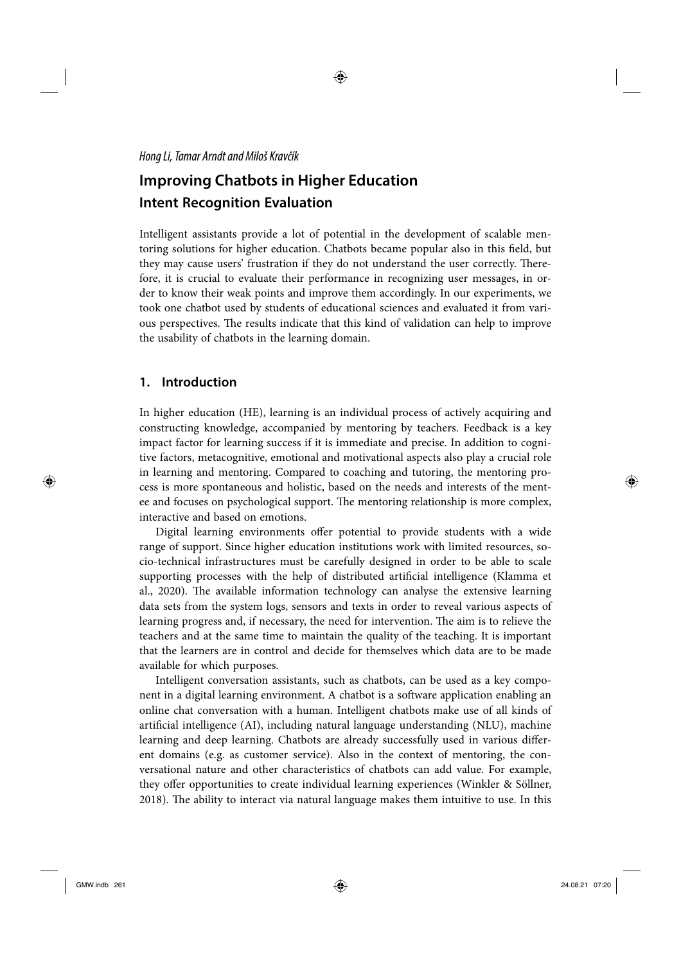#### Hong Li, Tamar Arndt and Miloš Kravčík

# **Improving Chatbots in Higher Education Intent Recognition Evaluation**

Intelligent assistants provide a lot of potential in the development of scalable mentoring solutions for higher education. Chatbots became popular also in this field, but they may cause users' frustration if they do not understand the user correctly. Therefore, it is crucial to evaluate their performance in recognizing user messages, in order to know their weak points and improve them accordingly. In our experiments, we took one chatbot used by students of educational sciences and evaluated it from various perspectives. The results indicate that this kind of validation can help to improve the usability of chatbots in the learning domain.

# **1. Introduction**

In higher education (HE), learning is an individual process of actively acquiring and constructing knowledge, accompanied by mentoring by teachers. Feedback is a key impact factor for learning success if it is immediate and precise. In addition to cognitive factors, metacognitive, emotional and motivational aspects also play a crucial role in learning and mentoring. Compared to coaching and tutoring, the mentoring process is more spontaneous and holistic, based on the needs and interests of the mentee and focuses on psychological support. The mentoring relationship is more complex, interactive and based on emotions.

Digital learning environments offer potential to provide students with a wide range of support. Since higher education institutions work with limited resources, socio-technical infrastructures must be carefully designed in order to be able to scale supporting processes with the help of distributed artificial intelligence (Klamma et al., 2020). The available information technology can analyse the extensive learning data sets from the system logs, sensors and texts in order to reveal various aspects of learning progress and, if necessary, the need for intervention. The aim is to relieve the teachers and at the same time to maintain the quality of the teaching. It is important that the learners are in control and decide for themselves which data are to be made available for which purposes.

Intelligent conversation assistants, such as chatbots, can be used as a key component in a digital learning environment. A chatbot is a software application enabling an online chat conversation with a human. Intelligent chatbots make use of all kinds of artificial intelligence (AI), including natural language understanding (NLU), machine learning and deep learning. Chatbots are already successfully used in various different domains (e.g. as customer service). Also in the context of mentoring, the conversational nature and other characteristics of chatbots can add value. For example, they offer opportunities to create individual learning experiences (Winkler & Söllner, 2018). The ability to interact via natural language makes them intuitive to use. In this

 $\bigoplus$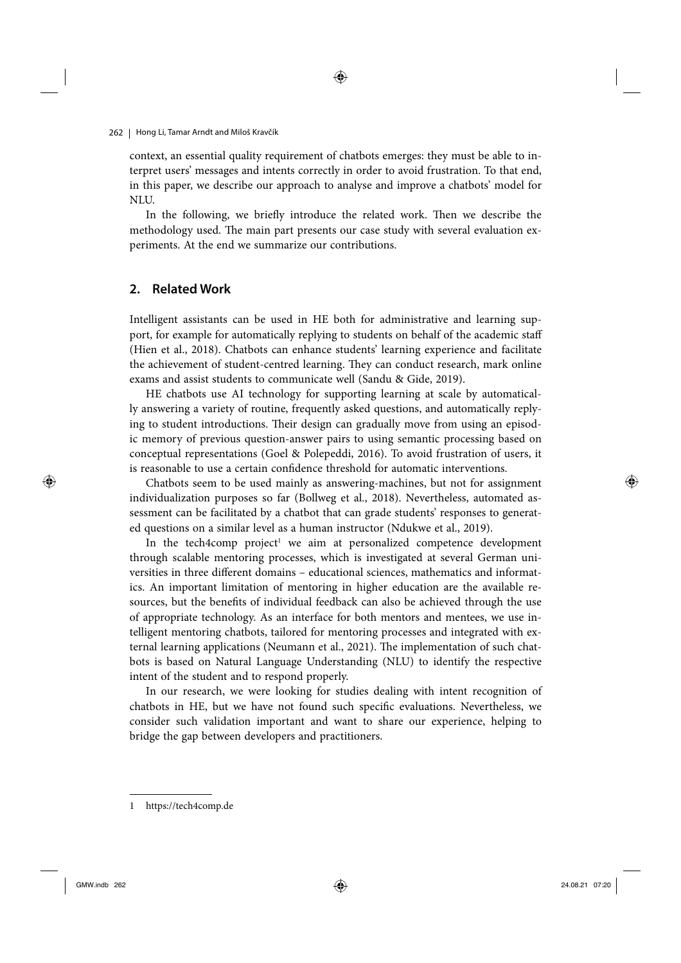#### 262 | Hong Li, Tamar Arndt and Miloš Kravčík

context, an essential quality requirement of chatbots emerges: they must be able to interpret users' messages and intents correctly in order to avoid frustration. To that end, in this paper, we describe our approach to analyse and improve a chatbots' model for NLU.

In the following, we briefly introduce the related work. Then we describe the methodology used. The main part presents our case study with several evaluation experiments. At the end we summarize our contributions.

## **2. Related Work**

Intelligent assistants can be used in HE both for administrative and learning support, for example for automatically replying to students on behalf of the academic staff (Hien et al., 2018). Chatbots can enhance students' learning experience and facilitate the achievement of student-centred learning. They can conduct research, mark online exams and assist students to communicate well (Sandu & Gide, 2019).

HE chatbots use AI technology for supporting learning at scale by automatically answering a variety of routine, frequently asked questions, and automatically replying to student introductions. Their design can gradually move from using an episodic memory of previous question-answer pairs to using semantic processing based on conceptual representations (Goel & Polepeddi, 2016). To avoid frustration of users, it is reasonable to use a certain confidence threshold for automatic interventions.

Chatbots seem to be used mainly as answering-machines, but not for assignment individualization purposes so far (Bollweg et al., 2018). Nevertheless, automated assessment can be facilitated by a chatbot that can grade students' responses to generated questions on a similar level as a human instructor (Ndukwe et al., 2019).

In the tech4comp project<sup>1</sup> we aim at personalized competence development through scalable mentoring processes, which is investigated at several German universities in three different domains - educational sciences, mathematics and informatics. An important limitation of mentoring in higher education are the available resources, but the benefits of individual feedback can also be achieved through the use of appropriate technology. As an interface for both mentors and mentees, we use intelligent mentoring chatbots, tailored for mentoring processes and integrated with external learning applications (Neumann et al., 2021). The implementation of such chatbots is based on Natural Language Understanding (NLU) to identify the respective intent of the student and to respond properly.

In our research, we were looking for studies dealing with intent recognition of chatbots in HE, but we have not found such specific evaluations. Nevertheless, we consider such validation important and want to share our experience, helping to bridge the gap between developers and practitioners.

 $\bigoplus$ 

https://tech4comp.de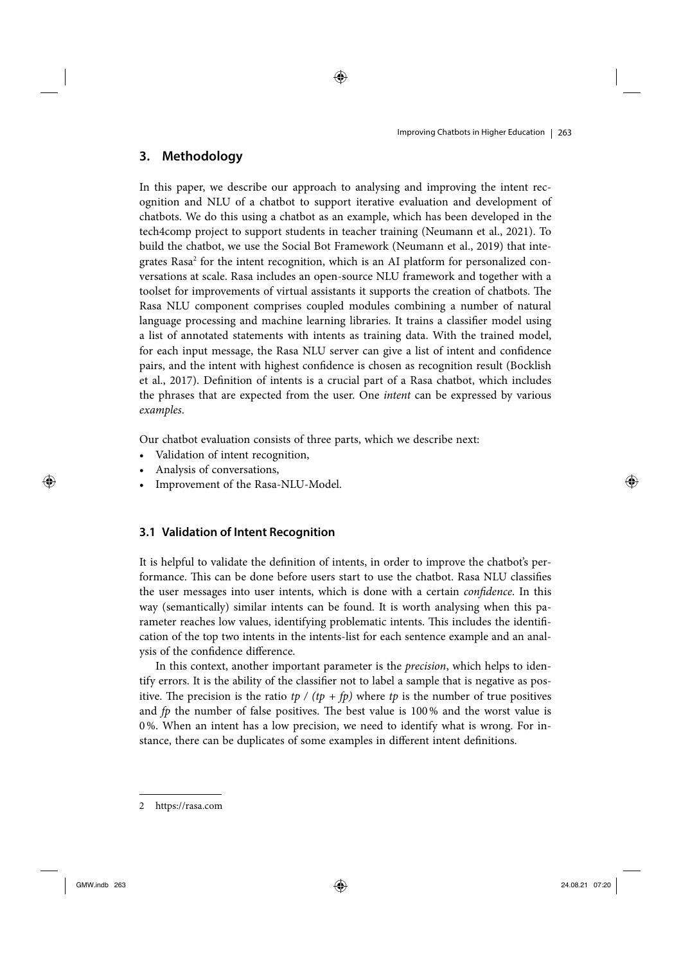# **3. Methodology**

In this paper, we describe our approach to analysing and improving the intent recognition and NLU of a chatbot to support iterative evaluation and development of chatbots. We do this using a chatbot as an example, which has been developed in the tech4comp project to support students in teacher training (Neumann et al., 2021). To build the chatbot, we use the Social Bot Framework (Neumann et al., 2019) that integrates Rasa<sup>2</sup> for the intent recognition, which is an AI platform for personalized conversations at scale. Rasa includes an open-source NLU framework and together with a toolset for improvements of virtual assistants it supports the creation of chatbots. The Rasa NLU component comprises coupled modules combining a number of natural language processing and machine learning libraries. It trains a classifier model using a list of annotated statements with intents as training data. With the trained model, for each input message, the Rasa NLU server can give a list of intent and confidence pairs, and the intent with highest confidence is chosen as recognition result (Bocklish et al., 2017). Definition of intents is a crucial part of a Rasa chatbot, which includes the phrases that are expected from the user. One intent can be expressed by various examples.

◈

Our chatbot evaluation consists of three parts, which we describe next:

- Validation of intent recognition,
- Analysis of conversations,
- Improvement of the Rasa-NLU-Model.

## **3.1 Validation of Intent Recognition**

It is helpful to validate the definition of intents, in order to improve the chatbot's performance. This can be done before users start to use the chatbot. Rasa NLU classifies the user messages into user intents, which is done with a certain *confidence*. In this way (semantically) similar intents can be found. It is worth analysing when this parameter reaches low values, identifying problematic intents. This includes the identification of the top two intents in the intents-list for each sentence example and an analysis of the confidence difference.

In this context, another important parameter is the *precision*, which helps to identify errors. It is the ability of the classifier not to label a sample that is negative as positive. The precision is the ratio tp / (tp + fp) where tp is the number of true positives and  $fp$  the number of false positives. The best value is 100% and the worst value is 0 %. When an intent has a low precision, we need to identify what is wrong. For instance, there can be duplicates of some examples in different intent definitions.

2 https://rasa.com

 $\bigoplus$ 

◈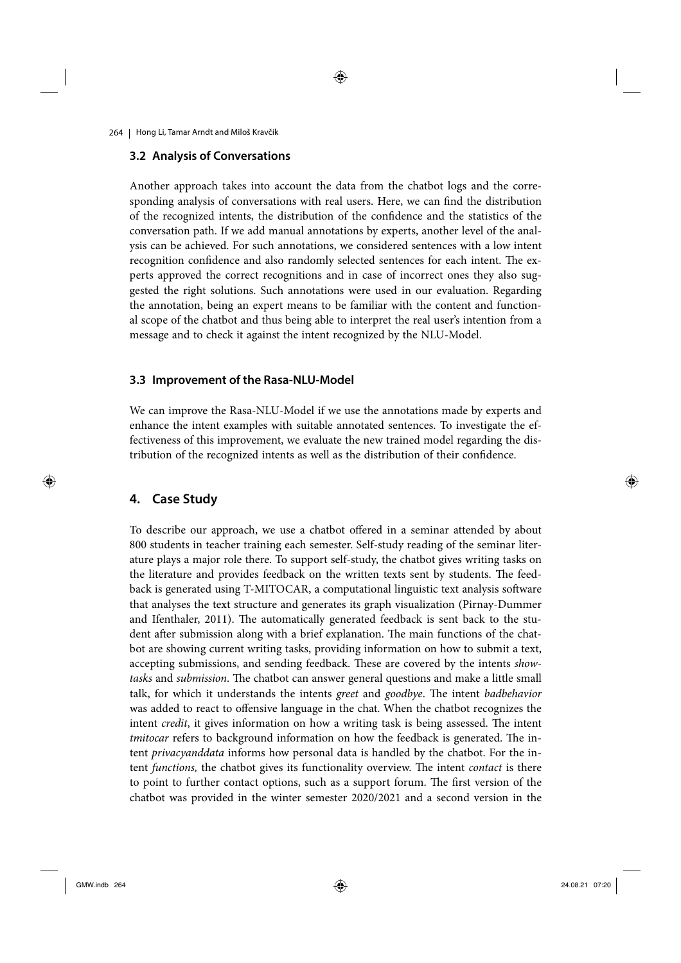◈

264 | Hong Li, Tamar Arndt and Miloš Kravčík

#### **3.2 Analysis of Conversations**

Another approach takes into account the data from the chatbot logs and the corresponding analysis of conversations with real users. Here, we can find the distribution of the recognized intents, the distribution of the confidence and the statistics of the conversation path. If we add manual annotations by experts, another level of the analysis can be achieved. For such annotations, we considered sentences with a low intent recognition confidence and also randomly selected sentences for each intent. The experts approved the correct recognitions and in case of incorrect ones they also suggested the right solutions. Such annotations were used in our evaluation. Regarding the annotation, being an expert means to be familiar with the content and functional scope of the chatbot and thus being able to interpret the real user's intention from a message and to check it against the intent recognized by the NLU-Model.

## **3.3 Improvement of the Rasa-NLU-Model**

We can improve the Rasa-NLU-Model if we use the annotations made by experts and enhance the intent examples with suitable annotated sentences. To investigate the effectiveness of this improvement, we evaluate the new trained model regarding the distribution of the recognized intents as well as the distribution of their confidence.

## **4. Case Study**

 $\bigoplus$ 

To describe our approach, we use a chatbot offered in a seminar attended by about 800 students in teacher training each semester. Self-study reading of the seminar literature plays a major role there. To support self-study, the chatbot gives writing tasks on the literature and provides feedback on the written texts sent by students. The feedback is generated using T-MITOCAR, a computational linguistic text analysis software that analyses the text structure and generates its graph visualization (Pirnay-Dummer and Ifenthaler, 2011). The automatically generated feedback is sent back to the student after submission along with a brief explanation. The main functions of the chatbot are showing current writing tasks, providing information on how to submit a text, accepting submissions, and sending feedback. These are covered by the intents showtasks and submission. The chatbot can answer general questions and make a little small talk, for which it understands the intents greet and goodbye. The intent badbehavior was added to react to offensive language in the chat. When the chatbot recognizes the intent *credit*, it gives information on how a writing task is being assessed. The intent tmitocar refers to background information on how the feedback is generated. The intent privacyanddata informs how personal data is handled by the chatbot. For the intent functions, the chatbot gives its functionality overview. The intent contact is there to point to further contact options, such as a support forum. The first version of the chatbot was provided in the winter semester 2020/2021 and a second version in the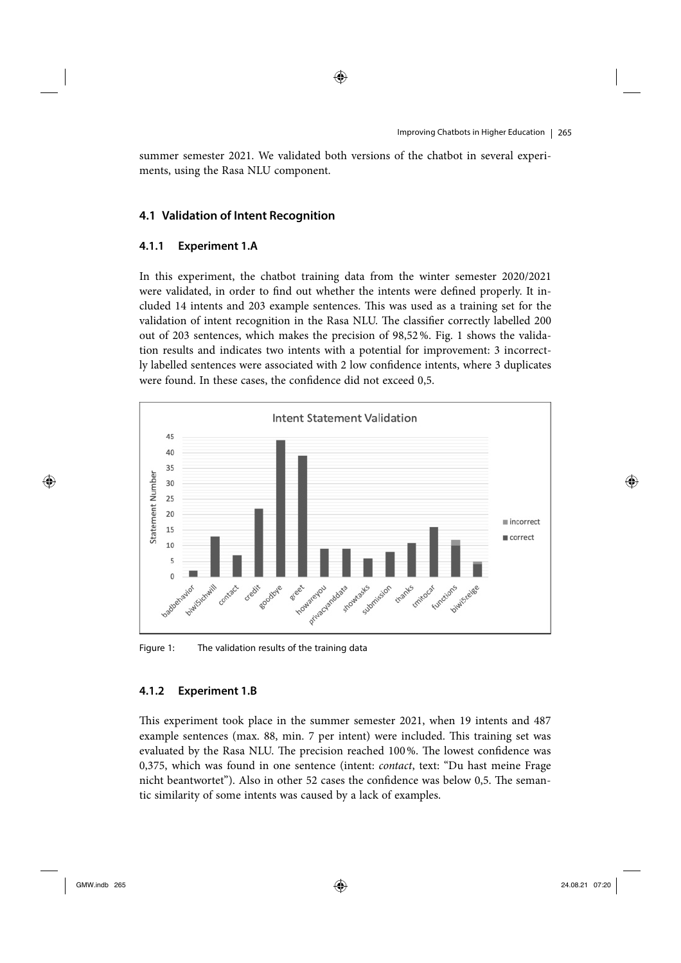summer semester 2021. We validated both versions of the chatbot in several experiments, using the Rasa NLU component.

## **4.1 Validation of Intent Recognition**

## **4.1.1 Experiment 1.A**

In this experiment, the chatbot training data from the winter semester 2020/2021 were validated, in order to find out whether the intents were defined properly. It included 14 intents and 203 example sentences. This was used as a training set for the validation of intent recognition in the Rasa NLU. The classifier correctly labelled 200 out of 203 sentences, which makes the precision of 98,52 %. Fig. 1 shows the validation results and indicates two intents with a potential for improvement: 3 incorrectly labelled sentences were associated with 2 low confidence intents, where 3 duplicates were found. In these cases, the confidence did not exceed 0,5.



Figure 1: The validation results of the training data

#### **4.1.2 Experiment 1.B**

This experiment took place in the summer semester 2021, when 19 intents and 487 example sentences (max. 88, min. 7 per intent) were included. This training set was evaluated by the Rasa NLU. The precision reached 100%. The lowest confidence was 0,375, which was found in one sentence (intent: contact, text: "Du hast meine Frage nicht beantwortet"). Also in other 52 cases the confidence was below 0,5. The semantic similarity of some intents was caused by a lack of examples.

⊕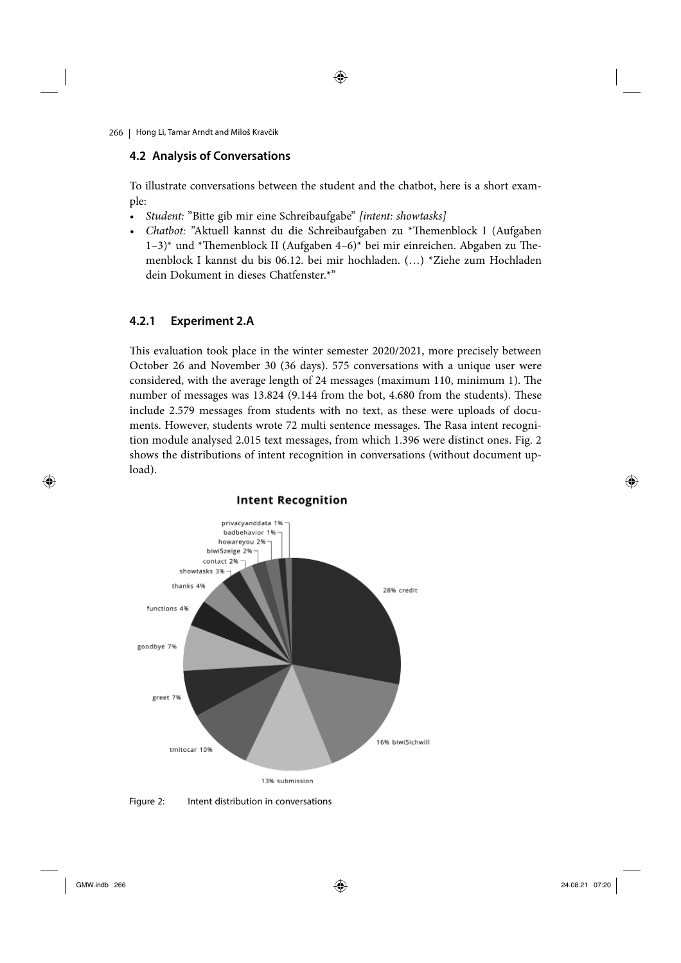◈

266 | Hong Li, Tamar Arndt and Miloš Kravčík

## **4.2 Analysis of Conversations**

To illustrate conversations between the student and the chatbot, here is a short example:

- Student: "Bitte gib mir eine Schreibaufgabe" [intent: showtasks]
- Chatbot: "Aktuell kannst du die Schreibaufgaben zu \*Themenblock I (Aufgaben 1–3)\* und \*Themenblock II (Aufgaben 4–6)\* bei mir einreichen. Abgaben zu Themenblock I kannst du bis 06.12. bei mir hochladen. (…) \*Ziehe zum Hochladen dein Dokument in dieses Chatfenster.\*"

# **4.2.1 Experiment 2.A**

This evaluation took place in the winter semester 2020/2021, more precisely between October 26 and November 30 (36 days). 575 conversations with a unique user were considered, with the average length of 24 messages (maximum 110, minimum 1). The number of messages was 13.824 (9.144 from the bot, 4.680 from the students). These include 2.579 messages from students with no text, as these were uploads of documents. However, students wrote 72 multi sentence messages. The Rasa intent recognition module analysed 2.015 text messages, from which 1.396 were distinct ones. Fig. 2 shows the distributions of intent recognition in conversations (without document upload).



 $\bigoplus$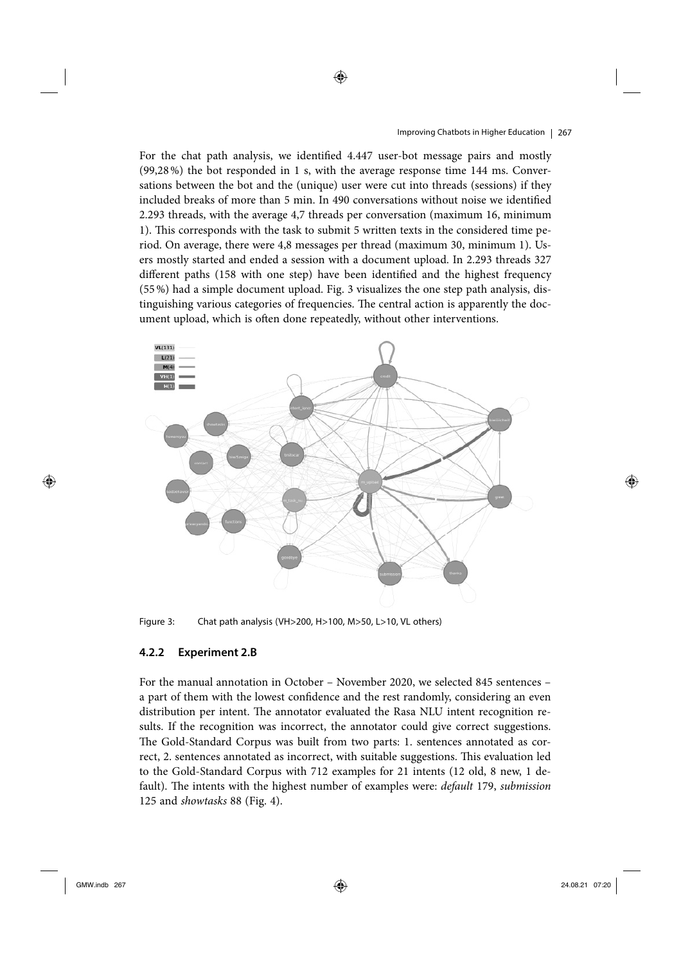#### Improving Chatbots in Higher Education | 267

For the chat path analysis, we identified 4.447 user-bot message pairs and mostly (99,28 %) the bot responded in 1 s, with the average response time 144 ms. Conversations between the bot and the (unique) user were cut into threads (sessions) if they included breaks of more than 5 min. In 490 conversations without noise we identified 2.293 threads, with the average 4,7 threads per conversation (maximum 16, minimum 1). This corresponds with the task to submit 5 written texts in the considered time period. On average, there were 4,8 messages per thread (maximum 30, minimum 1). Users mostly started and ended a session with a document upload. In 2.293 threads 327 different paths (158 with one step) have been identified and the highest frequency (55 %) had a simple document upload. Fig. 3 visualizes the one step path analysis, distinguishing various categories of frequencies. The central action is apparently the document upload, which is often done repeatedly, without other interventions.

◈



Figure 3: Chat path analysis (VH>200, H>100, M>50, L>10, VL others)

## **4.2.2 Experiment 2.B**

For the manual annotation in October – November 2020, we selected 845 sentences – a part of them with the lowest confidence and the rest randomly, considering an even distribution per intent. The annotator evaluated the Rasa NLU intent recognition results. If the recognition was incorrect, the annotator could give correct suggestions. The Gold-Standard Corpus was built from two parts: 1. sentences annotated as correct, 2. sentences annotated as incorrect, with suitable suggestions. This evaluation led to the Gold-Standard Corpus with 712 examples for 21 intents (12 old, 8 new, 1 default). The intents with the highest number of examples were: *default* 179, submission 125 and showtasks 88 (Fig. 4).

 $\bigoplus$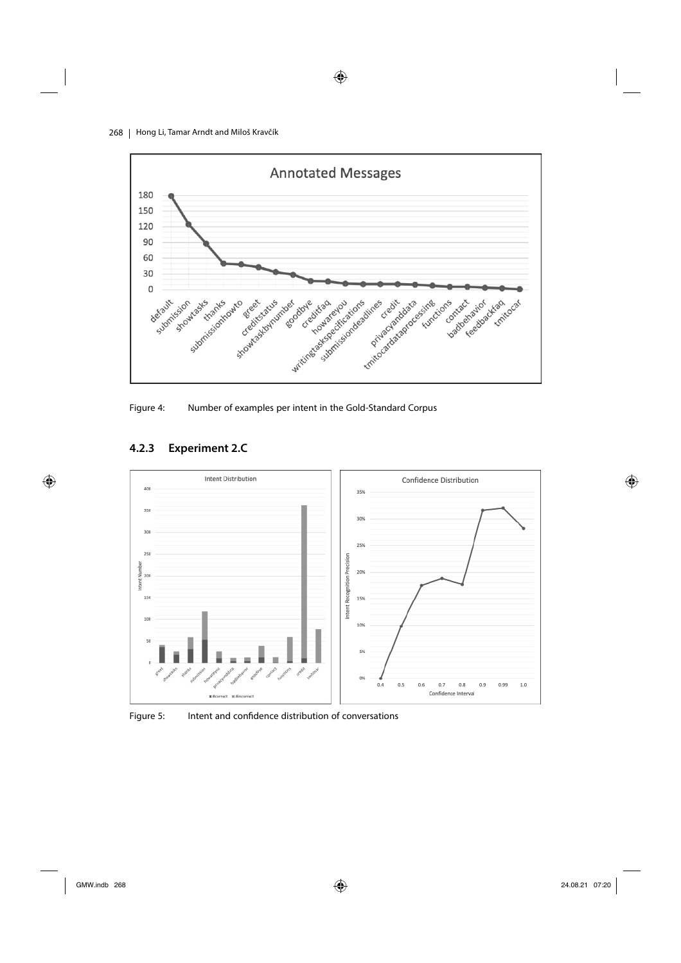268 | Hong Li, Tamar Arndt and Miloš Kravčík



 $\bigoplus$ 

Figure 4: Number of examples per intent in the Gold-Standard Corpus





Figure 5: Intent and confidence distribution of conversations

 $\bigoplus$ 

 $\bigoplus$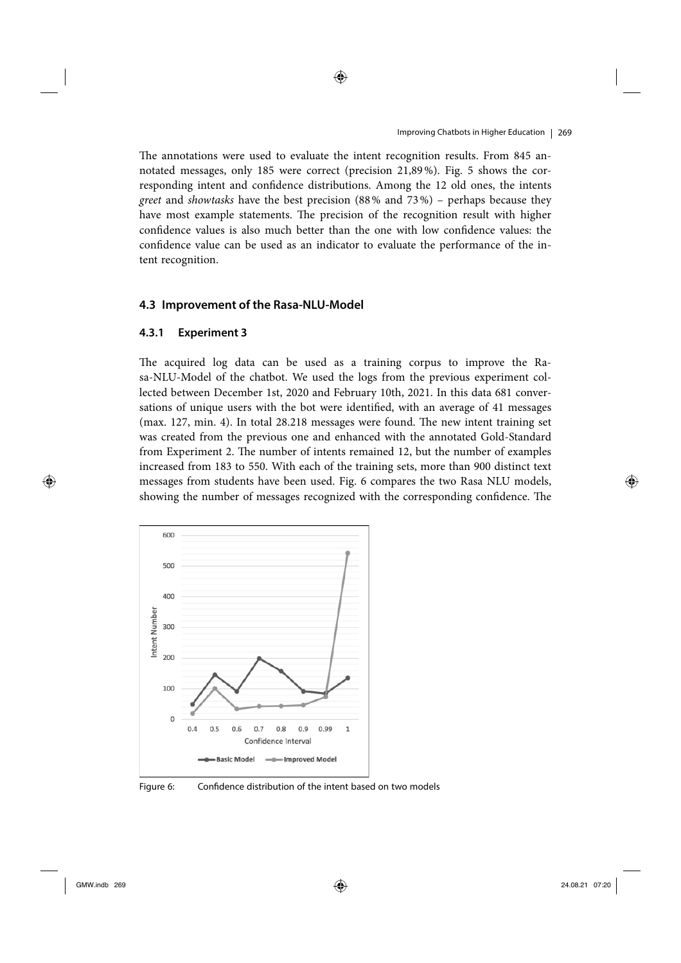The annotations were used to evaluate the intent recognition results. From 845 annotated messages, only 185 were correct (precision 21,89 %). Fig. 5 shows the corresponding intent and confidence distributions. Among the 12 old ones, the intents greet and showtasks have the best precision (88 % and 73 %) – perhaps because they have most example statements. The precision of the recognition result with higher confidence values is also much better than the one with low confidence values: the confidence value can be used as an indicator to evaluate the performance of the intent recognition.

◈

## **4.3 Improvement of the Rasa-NLU-Model**

#### **4.3.1 Experiment 3**

The acquired log data can be used as a training corpus to improve the Rasa-NLU-Model of the chatbot. We used the logs from the previous experiment collected between December 1st, 2020 and February 10th, 2021. In this data 681 conversations of unique users with the bot were identified, with an average of 41 messages  $(max. 127, min. 4)$ . In total  $28.218$  messages were found. The new intent training set was created from the previous one and enhanced with the annotated Gold-Standard from Experiment 2. The number of intents remained 12, but the number of examples increased from 183 to 550. With each of the training sets, more than 900 distinct text messages from students have been used. Fig. 6 compares the two Rasa NLU models, showing the number of messages recognized with the corresponding confidence. The



Figure 6: Confidence distribution of the intent based on two models

 $\bigoplus$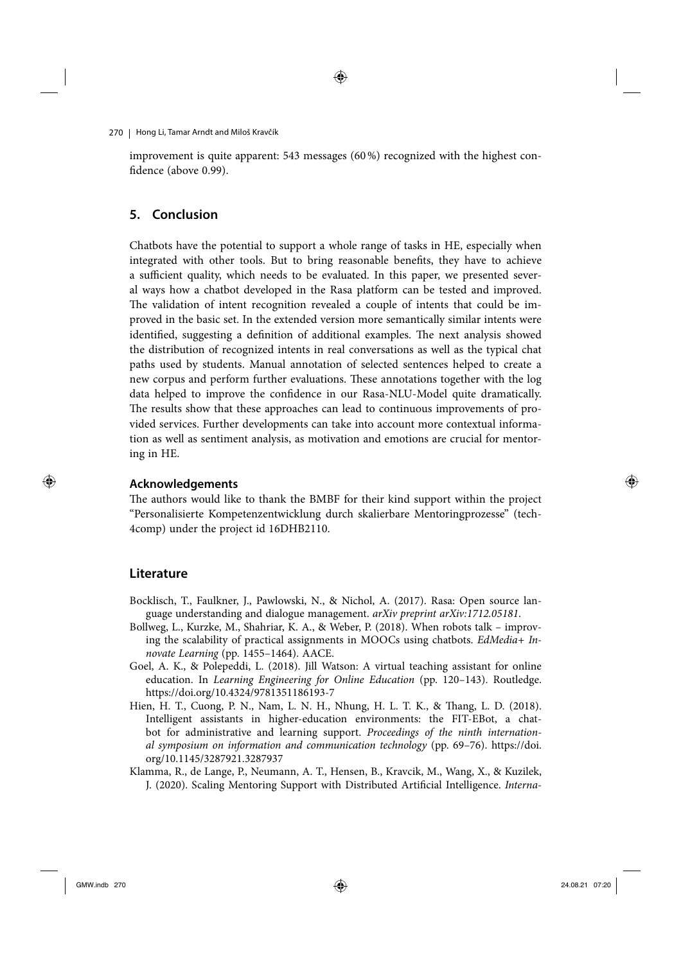◈

270 | Hong Li, Tamar Arndt and Miloš Kravčík

improvement is quite apparent: 543 messages (60 %) recognized with the highest confidence (above 0.99).

## **5. Conclusion**

Chatbots have the potential to support a whole range of tasks in HE, especially when integrated with other tools. But to bring reasonable benefits, they have to achieve a sufficient quality, which needs to be evaluated. In this paper, we presented several ways how a chatbot developed in the Rasa platform can be tested and improved. The validation of intent recognition revealed a couple of intents that could be improved in the basic set. In the extended version more semantically similar intents were identified, suggesting a definition of additional examples. The next analysis showed the distribution of recognized intents in real conversations as well as the typical chat paths used by students. Manual annotation of selected sentences helped to create a new corpus and perform further evaluations. These annotations together with the log data helped to improve the confidence in our Rasa-NLU-Model quite dramatically. The results show that these approaches can lead to continuous improvements of provided services. Further developments can take into account more contextual information as well as sentiment analysis, as motivation and emotions are crucial for mentoring in HE.

#### **Acknowledgements**

The authors would like to thank the BMBF for their kind support within the project "Personalisierte Kompetenzentwicklung durch skalierbare Mentoringprozesse" (tech-4comp) under the project id 16DHB2110.

### **Literature**

 $\bigoplus$ 

- Bocklisch, T., Faulkner, J., Pawlowski, N., & Nichol, A. (2017). Rasa: Open source language understanding and dialogue management. arXiv preprint arXiv:1712.05181.
- Bollweg, L., Kurzke, M., Shahriar, K. A., & Weber, P. (2018). When robots talk improving the scalability of practical assignments in MOOCs using chatbots.  $EdMedia+In$ novate Learning (pp. 1455–1464). AACE.
- Goel, A. K., & Polepeddi, L. (2018). Jill Watson: A virtual teaching assistant for online education. In Learning Engineering for Online Education (pp. 120–143). Routledge. https://doi.org/10.4324/9781351186193-7
- Hien, H. T., Cuong, P. N., Nam, L. N. H., Nhung, H. L. T. K., & Thang, L. D. (2018). Intelligent assistants in higher-education environments: the FIT-EBot, a chatbot for administrative and learning support. Proceedings of the ninth international symposium on information and communication technology (pp. 69–76). https://doi. org/10.1145/3287921.3287937
- Klamma, R., de Lange, P., Neumann, A. T., Hensen, B., Kravcik, M., Wang, X., & Kuzilek, J. (2020). Scaling Mentoring Support with Distributed Artificial Intelligence. Interna-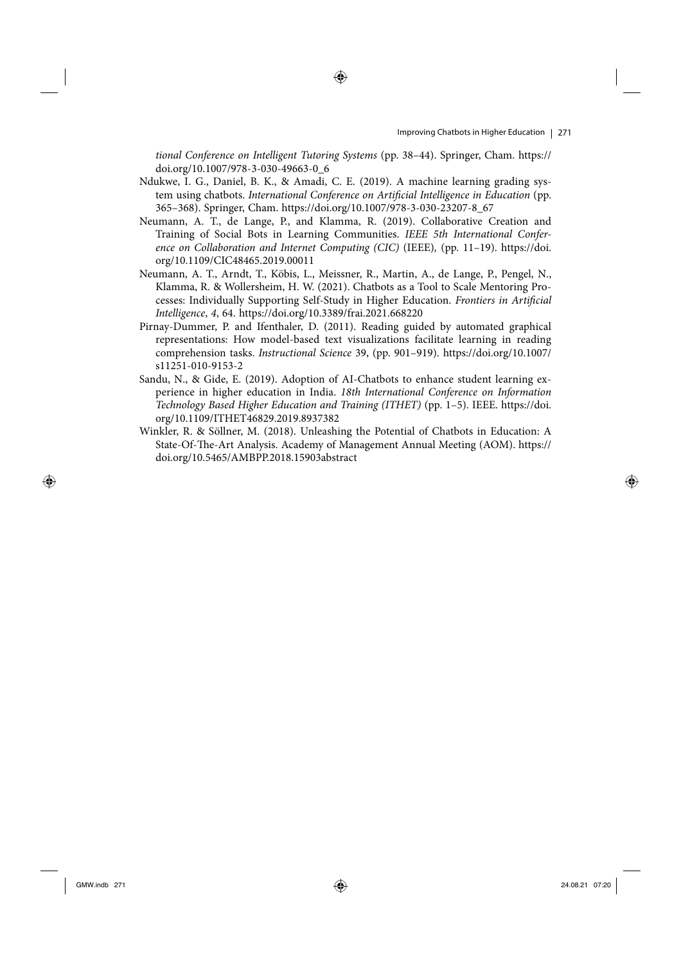#### Improving Chatbots in Higher Education 271

tional Conference on Intelligent Tutoring Systems (pp. 38–44). Springer, Cham. https:// doi.org/10.1007/978-3-030-49663-0\_6

- Ndukwe, I. G., Daniel, B. K., & Amadi, C. E. (2019). A machine learning grading system using chatbots. International Conference on Artificial Intelligence in Education (pp. 365–368). Springer, Cham. https://doi.org/10.1007/978-3-030-23207-8\_67
- Neumann, A. T., de Lange, P., and Klamma, R. (2019). Collaborative Creation and Training of Social Bots in Learning Communities. IEEE 5th International Conference on Collaboration and Internet Computing (CIC) (IEEE), (pp. 11–19). https://doi. org/10.1109/CIC48465.2019.00011
- Neumann, A. T., Arndt, T., Köbis, L., Meissner, R., Martin, A., de Lange, P., Pengel, N., Klamma, R. & Wollersheim, H. W. (2021). Chatbots as a Tool to Scale Mentoring Processes: Individually Supporting Self-Study in Higher Education. Frontiers in Artificial Intelligence, 4, 64. https://doi.org/10.3389/frai.2021.668220
- Pirnay-Dummer, P. and Ifenthaler, D. (2011). Reading guided by automated graphical representations: How model-based text visualizations facilitate learning in reading comprehension tasks. Instructional Science 39, (pp. 901–919). https://doi.org/10.1007/ s11251-010-9153-2
- Sandu, N., & Gide, E. (2019). Adoption of AI-Chatbots to enhance student learning experience in higher education in India. 18th International Conference on Information Technology Based Higher Education and Training (ITHET) (pp. 1–5). IEEE. https://doi. org/10.1109/ITHET46829.2019.8937382
- Winkler, R. & Söllner, M. (2018). Unleashing the Potential of Chatbots in Education: A State-Of-The-Art Analysis. Academy of Management Annual Meeting (AOM). https:// doi.org/10.5465/AMBPP.2018.15903abstract

 $\bigoplus$